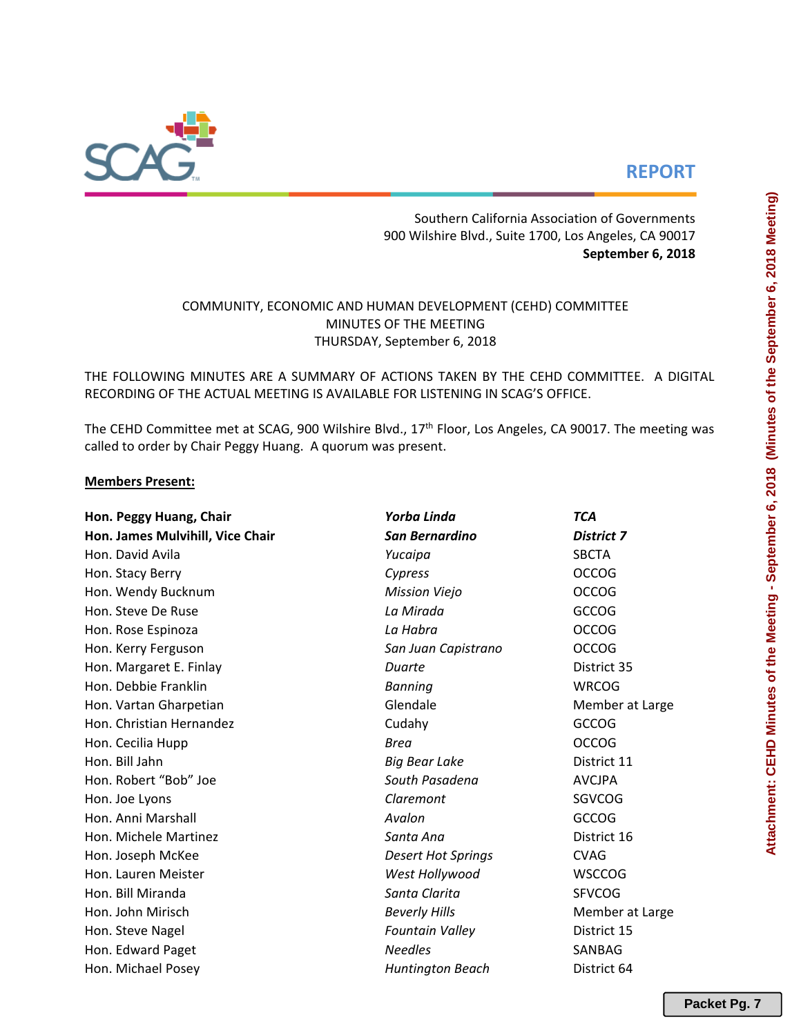# **REPORT**

Southern California Association of Governments 900 Wilshire Blvd., Suite 1700, Los Angeles, CA 90017 **September 6, 2018**

## COMMUNITY, ECONOMIC AND HUMAN DEVELOPMENT (CEHD) COMMITTEE MINUTES OF THE MEETING THURSDAY, September 6, 2018

THE FOLLOWING MINUTES ARE A SUMMARY OF ACTIONS TAKEN BY THE CEHD COMMITTEE. A DIGITAL RECORDING OF THE ACTUAL MEETING IS AVAILABLE FOR LISTENING IN SCAG'S OFFICE.

The CEHD Committee met at SCAG, 900 Wilshire Blvd., 17<sup>th</sup> Floor, Los Angeles, CA 90017. The meeting was called to order by Chair Peggy Huang. A quorum was present.

## **Members Present:**

| Hon. Peggy Huang, Chair          | Yorba Linda               | <b>TCA</b>        |  |  |  |  |
|----------------------------------|---------------------------|-------------------|--|--|--|--|
| Hon. James Mulvihill, Vice Chair | San Bernardino            | <b>District 7</b> |  |  |  |  |
| Hon. David Avila                 | Yucaipa                   | <b>SBCTA</b>      |  |  |  |  |
| Hon. Stacy Berry                 | Cypress                   | <b>OCCOG</b>      |  |  |  |  |
| Hon. Wendy Bucknum               | <b>Mission Viejo</b>      | <b>OCCOG</b>      |  |  |  |  |
| Hon. Steve De Ruse               | La Mirada                 | <b>GCCOG</b>      |  |  |  |  |
| Hon. Rose Espinoza               | La Habra                  | <b>OCCOG</b>      |  |  |  |  |
| Hon. Kerry Ferguson              | San Juan Capistrano       | <b>OCCOG</b>      |  |  |  |  |
| Hon. Margaret E. Finlay          | Duarte                    | District 35       |  |  |  |  |
| Hon. Debbie Franklin             | <b>Banning</b>            | <b>WRCOG</b>      |  |  |  |  |
| Hon. Vartan Gharpetian           | Glendale                  | Member at Large   |  |  |  |  |
| Hon. Christian Hernandez         | Cudahy                    | <b>GCCOG</b>      |  |  |  |  |
| Hon. Cecilia Hupp                | <b>Brea</b>               | <b>OCCOG</b>      |  |  |  |  |
| Hon. Bill Jahn                   | <b>Big Bear Lake</b>      | District 11       |  |  |  |  |
| Hon. Robert "Bob" Joe            | South Pasadena            | <b>AVCJPA</b>     |  |  |  |  |
| Hon. Joe Lyons                   | Claremont                 | <b>SGVCOG</b>     |  |  |  |  |
| Hon. Anni Marshall               | Avalon                    | <b>GCCOG</b>      |  |  |  |  |
| Hon. Michele Martinez            | Santa Ana                 | District 16       |  |  |  |  |
| Hon. Joseph McKee                | <b>Desert Hot Springs</b> | <b>CVAG</b>       |  |  |  |  |
| Hon. Lauren Meister              | West Hollywood            | <b>WSCCOG</b>     |  |  |  |  |
| Hon. Bill Miranda                | Santa Clarita             | <b>SFVCOG</b>     |  |  |  |  |
| Hon. John Mirisch                | <b>Beverly Hills</b>      | Member at Large   |  |  |  |  |
| Hon. Steve Nagel                 | <b>Fountain Valley</b>    | District 15       |  |  |  |  |
| Hon. Edward Paget                | <b>Needles</b>            | SANBAG            |  |  |  |  |
| Hon. Michael Posey               | <b>Huntington Beach</b>   | District 64       |  |  |  |  |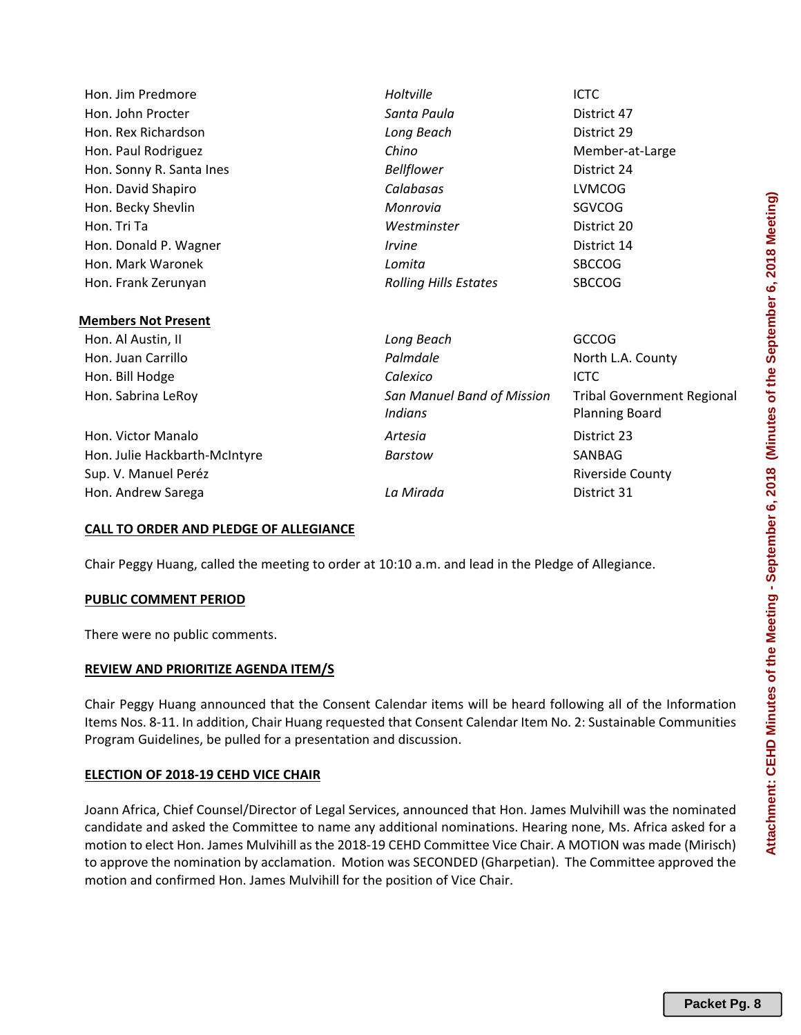| Hon. Jim Predmore             | Holtville                                    | ICTC                                                       |  |  |  |  |
|-------------------------------|----------------------------------------------|------------------------------------------------------------|--|--|--|--|
| Hon. John Procter             | Santa Paula                                  | District 47                                                |  |  |  |  |
| Hon. Rex Richardson           | Long Beach                                   | District 29                                                |  |  |  |  |
| Hon. Paul Rodriguez           | Chino                                        | Member-at-Large                                            |  |  |  |  |
| Hon. Sonny R. Santa Ines      | <b>Bellflower</b>                            | District 24                                                |  |  |  |  |
| Hon. David Shapiro            | Calabasas                                    | <b>LVMCOG</b>                                              |  |  |  |  |
| Hon. Becky Shevlin            | Monrovia                                     | SGVCOG                                                     |  |  |  |  |
| Hon. Tri Ta                   | Westminster                                  | District 20                                                |  |  |  |  |
| Hon. Donald P. Wagner         | <i><u><b>Irvine</b></u></i>                  | District 14                                                |  |  |  |  |
| Hon. Mark Waronek             | Lomita                                       | <b>SBCCOG</b>                                              |  |  |  |  |
| Hon. Frank Zerunyan           | <b>Rolling Hills Estates</b>                 | <b>SBCCOG</b>                                              |  |  |  |  |
|                               |                                              |                                                            |  |  |  |  |
| <b>Members Not Present</b>    |                                              |                                                            |  |  |  |  |
| Hon. Al Austin, II            | Long Beach                                   | <b>GCCOG</b>                                               |  |  |  |  |
| Hon. Juan Carrillo            | Palmdale                                     | North L.A. County                                          |  |  |  |  |
| Hon. Bill Hodge               | Calexico                                     | <b>ICTC</b>                                                |  |  |  |  |
| Hon. Sabrina LeRoy            | San Manuel Band of Mission<br><b>Indians</b> | <b>Tribal Government Regional</b><br><b>Planning Board</b> |  |  |  |  |
| Hon. Victor Manalo            | Artesia                                      | District 23                                                |  |  |  |  |
|                               |                                              |                                                            |  |  |  |  |
| Hon. Julie Hackbarth-McIntyre | Barstow                                      | SANBAG                                                     |  |  |  |  |
| Sup. V. Manuel Peréz          |                                              | <b>Riverside County</b>                                    |  |  |  |  |
| Hon. Andrew Sarega            | La Mirada                                    | District 31                                                |  |  |  |  |

#### **CALL TO ORDER AND PLEDGE OF ALLEGIANCE**

Chair Peggy Huang, called the meeting to order at 10:10 a.m. and lead in the Pledge of Allegiance.

#### **PUBLIC COMMENT PERIOD**

There were no public comments.

#### **REVIEW AND PRIORITIZE AGENDA ITEM/S**

Chair Peggy Huang announced that the Consent Calendar items will be heard following all of the Information Items Nos. 8‐11. In addition, Chair Huang requested that Consent Calendar Item No. 2: Sustainable Communities Program Guidelines, be pulled for a presentation and discussion.

#### **ELECTION OF 2018‐19 CEHD VICE CHAIR**

Joann Africa, Chief Counsel/Director of Legal Services, announced that Hon. James Mulvihill was the nominated candidate and asked the Committee to name any additional nominations. Hearing none, Ms. Africa asked for a motion to elect Hon. James Mulvihill as the 2018‐19 CEHD Committee Vice Chair. A MOTION was made (Mirisch) to approve the nomination by acclamation. Motion was SECONDED (Gharpetian). The Committee approved the motion and confirmed Hon. James Mulvihill for the position of Vice Chair.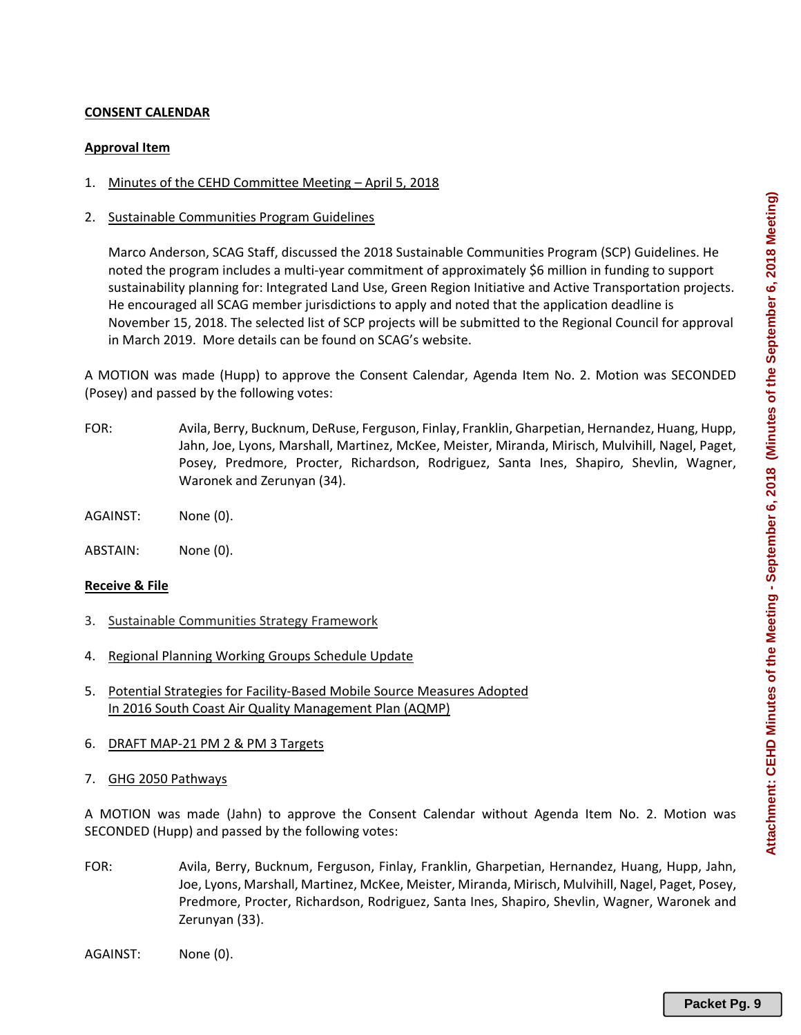### **CONSENT CALENDAR**

#### **Approval Item**

- 1. Minutes of the CEHD Committee Meeting April 5, 2018
- 2. Sustainable Communities Program Guidelines

Marco Anderson, SCAG Staff, discussed the 2018 Sustainable Communities Program (SCP) Guidelines. He noted the program includes a multi‐year commitment of approximately \$6 million in funding to support sustainability planning for: Integrated Land Use, Green Region Initiative and Active Transportation projects. He encouraged all SCAG member jurisdictions to apply and noted that the application deadline is November 15, 2018. The selected list of SCP projects will be submitted to the Regional Council for approval in March 2019. More details can be found on SCAG's website.

A MOTION was made (Hupp) to approve the Consent Calendar, Agenda Item No. 2. Motion was SECONDED (Posey) and passed by the following votes:

- FOR: Avila, Berry, Bucknum, DeRuse, Ferguson, Finlay, Franklin, Gharpetian, Hernandez, Huang, Hupp, Jahn, Joe, Lyons, Marshall, Martinez, McKee, Meister, Miranda, Mirisch, Mulvihill, Nagel, Paget, Posey, Predmore, Procter, Richardson, Rodriguez, Santa Ines, Shapiro, Shevlin, Wagner, Waronek and Zerunyan (34).
- AGAINST: None (0).
- ABSTAIN: None (0).

#### **Receive & File**

- 3. Sustainable Communities Strategy Framework
- 4. Regional Planning Working Groups Schedule Update
- 5. Potential Strategies for Facility‐Based Mobile Source Measures Adopted In 2016 South Coast Air Quality Management Plan (AQMP)
- 6. DRAFT MAP‐21 PM 2 & PM 3 Targets
- 7. GHG 2050 Pathways

A MOTION was made (Jahn) to approve the Consent Calendar without Agenda Item No. 2. Motion was SECONDED (Hupp) and passed by the following votes:

- FOR: Avila, Berry, Bucknum, Ferguson, Finlay, Franklin, Gharpetian, Hernandez, Huang, Hupp, Jahn, Joe, Lyons, Marshall, Martinez, McKee, Meister, Miranda, Mirisch, Mulvihill, Nagel, Paget, Posey, Predmore, Procter, Richardson, Rodriguez, Santa Ines, Shapiro, Shevlin, Wagner, Waronek and Zerunyan (33).
- AGAINST: None (0).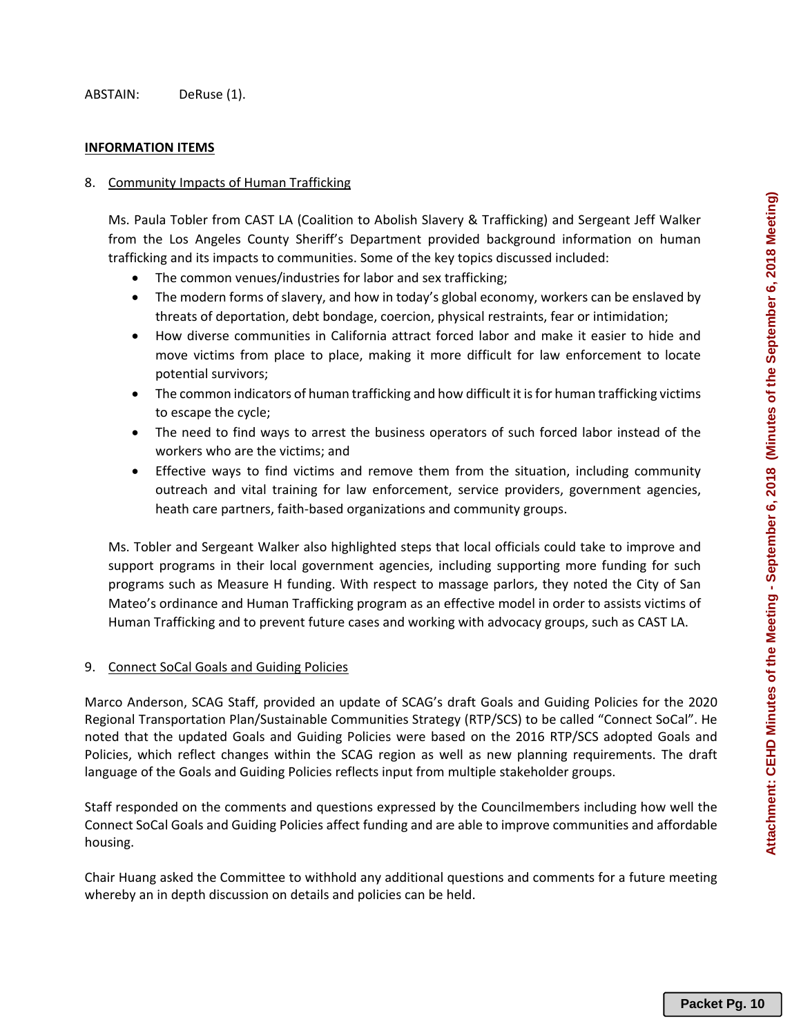#### **INFORMATION ITEMS**

#### 8. Community Impacts of Human Trafficking

Ms. Paula Tobler from CAST LA (Coalition to Abolish Slavery & Trafficking) and Sergeant Jeff Walker from the Los Angeles County Sheriff's Department provided background information on human trafficking and its impacts to communities. Some of the key topics discussed included:

- The common venues/industries for labor and sex trafficking;
- The modern forms of slavery, and how in today's global economy, workers can be enslaved by threats of deportation, debt bondage, coercion, physical restraints, fear or intimidation;
- How diverse communities in California attract forced labor and make it easier to hide and move victims from place to place, making it more difficult for law enforcement to locate potential survivors;
- The common indicators of human trafficking and how difficult it is for human trafficking victims to escape the cycle;
- The need to find ways to arrest the business operators of such forced labor instead of the workers who are the victims; and
- Effective ways to find victims and remove them from the situation, including community outreach and vital training for law enforcement, service providers, government agencies, heath care partners, faith‐based organizations and community groups.

Ms. Tobler and Sergeant Walker also highlighted steps that local officials could take to improve and support programs in their local government agencies, including supporting more funding for such programs such as Measure H funding. With respect to massage parlors, they noted the City of San Mateo's ordinance and Human Trafficking program as an effective model in order to assists victims of Human Trafficking and to prevent future cases and working with advocacy groups, such as CAST LA.

#### 9. Connect SoCal Goals and Guiding Policies

Marco Anderson, SCAG Staff, provided an update of SCAG's draft Goals and Guiding Policies for the 2020 Regional Transportation Plan/Sustainable Communities Strategy (RTP/SCS) to be called "Connect SoCal". He noted that the updated Goals and Guiding Policies were based on the 2016 RTP/SCS adopted Goals and Policies, which reflect changes within the SCAG region as well as new planning requirements. The draft language of the Goals and Guiding Policies reflects input from multiple stakeholder groups.

Staff responded on the comments and questions expressed by the Councilmembers including how well the Connect SoCal Goals and Guiding Policies affect funding and are able to improve communities and affordable housing.

Chair Huang asked the Committee to withhold any additional questions and comments for a future meeting whereby an in depth discussion on details and policies can be held.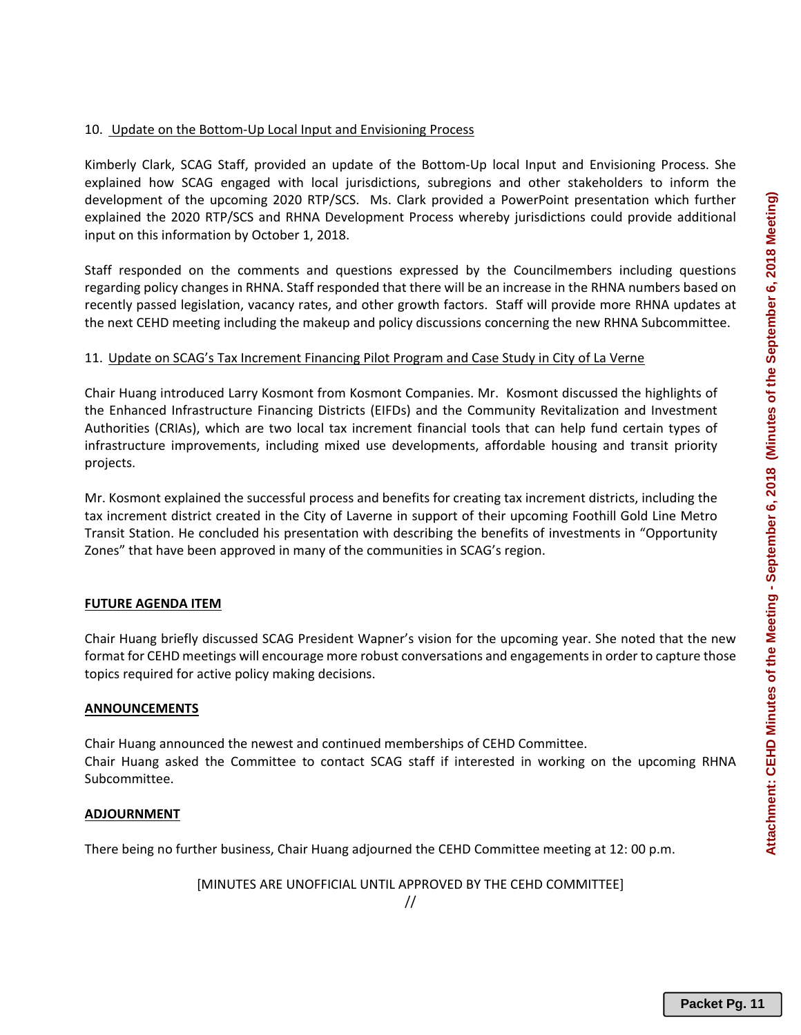Kimberly Clark, SCAG Staff, provided an update of the Bottom‐Up local Input and Envisioning Process. She explained how SCAG engaged with local jurisdictions, subregions and other stakeholders to inform the development of the upcoming 2020 RTP/SCS. Ms. Clark provided a PowerPoint presentation which further explained the 2020 RTP/SCS and RHNA Development Process whereby jurisdictions could provide additional input on this information by October 1, 2018.

Staff responded on the comments and questions expressed by the Councilmembers including questions regarding policy changes in RHNA. Staff responded that there will be an increase in the RHNA numbers based on recently passed legislation, vacancy rates, and other growth factors. Staff will provide more RHNA updates at the next CEHD meeting including the makeup and policy discussions concerning the new RHNA Subcommittee.

## 11. Update on SCAG's Tax Increment Financing Pilot Program and Case Study in City of La Verne

Chair Huang introduced Larry Kosmont from Kosmont Companies. Mr. Kosmont discussed the highlights of the Enhanced Infrastructure Financing Districts (EIFDs) and the Community Revitalization and Investment Authorities (CRIAs), which are two local tax increment financial tools that can help fund certain types of infrastructure improvements, including mixed use developments, affordable housing and transit priority projects.

Mr. Kosmont explained the successful process and benefits for creating tax increment districts, including the tax increment district created in the City of Laverne in support of their upcoming Foothill Gold Line Metro Transit Station. He concluded his presentation with describing the benefits of investments in "Opportunity Zones" that have been approved in many of the communities in SCAG's region.

## **FUTURE AGENDA ITEM**

Chair Huang briefly discussed SCAG President Wapner's vision for the upcoming year. She noted that the new format for CEHD meetings will encourage more robust conversations and engagements in order to capture those topics required for active policy making decisions.

## **ANNOUNCEMENTS**

Chair Huang announced the newest and continued memberships of CEHD Committee. Chair Huang asked the Committee to contact SCAG staff if interested in working on the upcoming RHNA Subcommittee.

## **ADJOURNMENT**

There being no further business, Chair Huang adjourned the CEHD Committee meeting at 12: 00 p.m.

[MINUTES ARE UNOFFICIAL UNTIL APPROVED BY THE CEHD COMMITTEE]